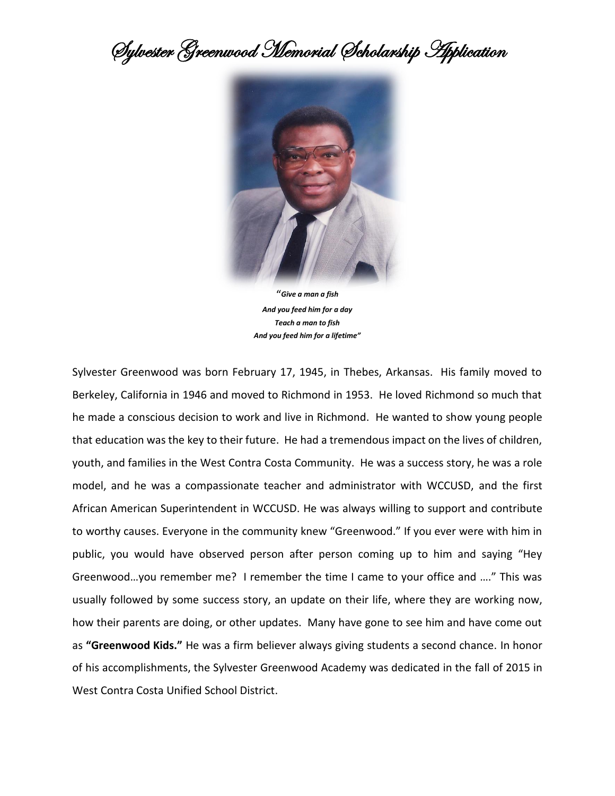Sylvester Greenwood Memorial Scholarship Application



*And you feed him for a day Teach a man to fish And you feed him for a lifetime"*

Sylvester Greenwood was born February 17, 1945, in Thebes, Arkansas. His family moved to Berkeley, California in 1946 and moved to Richmond in 1953. He loved Richmond so much that he made a conscious decision to work and live in Richmond. He wanted to show young people that education was the key to their future. He had a tremendous impact on the lives of children, youth, and families in the West Contra Costa Community. He was a success story, he was a role model, and he was a compassionate teacher and administrator with WCCUSD, and the first African American Superintendent in WCCUSD. He was always willing to support and contribute to worthy causes. Everyone in the community knew "Greenwood." If you ever were with him in public, you would have observed person after person coming up to him and saying "Hey Greenwood…you remember me? I remember the time I came to your office and …." This was usually followed by some success story, an update on their life, where they are working now, how their parents are doing, or other updates. Many have gone to see him and have come out as **"Greenwood Kids."** He was a firm believer always giving students a second chance. In honor of his accomplishments, the Sylvester Greenwood Academy was dedicated in the fall of 2015 in West Contra Costa Unified School District.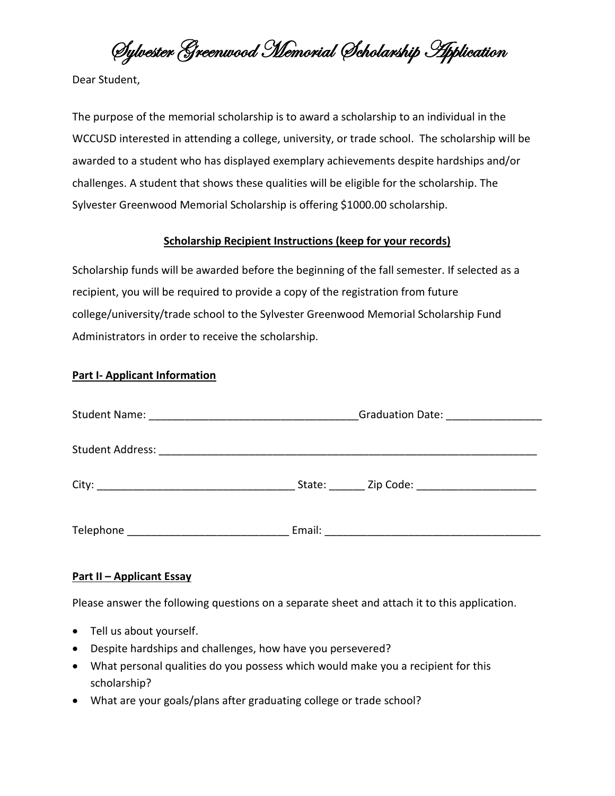Sylvester Greenwood Memorial Scholarship Application

Dear Student,

The purpose of the memorial scholarship is to award a scholarship to an individual in the WCCUSD interested in attending a college, university, or trade school. The scholarship will be awarded to a student who has displayed exemplary achievements despite hardships and/or challenges. A student that shows these qualities will be eligible for the scholarship. The Sylvester Greenwood Memorial Scholarship is offering \$1000.00 scholarship.

## **Scholarship Recipient Instructions (keep for your records)**

Scholarship funds will be awarded before the beginning of the fall semester. If selected as a recipient, you will be required to provide a copy of the registration from future college/university/trade school to the Sylvester Greenwood Memorial Scholarship Fund Administrators in order to receive the scholarship.

## **Part I- Applicant Information**

|                         | Graduation Date: __________________ |                                    |
|-------------------------|-------------------------------------|------------------------------------|
|                         |                                     |                                    |
| <b>Student Address:</b> |                                     |                                    |
| City:                   | State:                              | Zip Code: ________________________ |
|                         |                                     |                                    |
| Telephone               | Email:                              |                                    |

## **Part II – Applicant Essay**

Please answer the following questions on a separate sheet and attach it to this application.

- Tell us about yourself.
- Despite hardships and challenges, how have you persevered?
- What personal qualities do you possess which would make you a recipient for this scholarship?
- What are your goals/plans after graduating college or trade school?